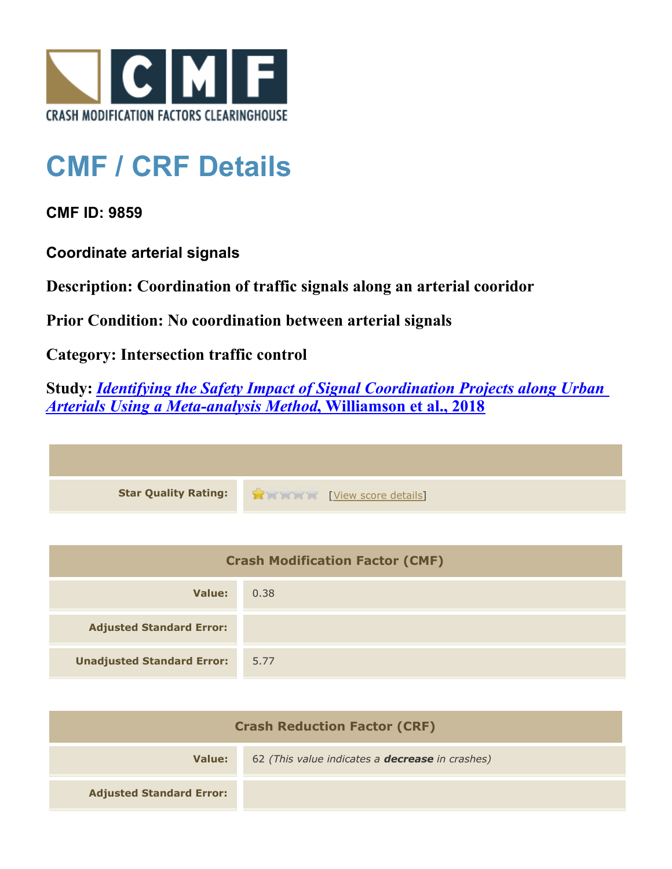

## **CMF / CRF Details**

**CMF ID: 9859**

**Coordinate arterial signals**

**Description: Coordination of traffic signals along an arterial cooridor**

**Prior Condition: No coordination between arterial signals**

**Category: Intersection traffic control**

**Study:** *[Identifying the Safety Impact of Signal Coordination Projects along Urban](http://www.cmfclearinghouse.org/study_detail.cfm?stid=555) [Arterials Using a Meta-analysis Method](http://www.cmfclearinghouse.org/study_detail.cfm?stid=555)***[, Williamson et al., 2018](http://www.cmfclearinghouse.org/study_detail.cfm?stid=555)**



| <b>Crash Modification Factor (CMF)</b> |      |
|----------------------------------------|------|
| Value:                                 | 0.38 |
| <b>Adjusted Standard Error:</b>        |      |
| <b>Unadjusted Standard Error:</b>      | 5.77 |

| <b>Crash Reduction Factor (CRF)</b> |                                                        |
|-------------------------------------|--------------------------------------------------------|
| Value:                              | 62 (This value indicates a <b>decrease</b> in crashes) |
| <b>Adjusted Standard Error:</b>     |                                                        |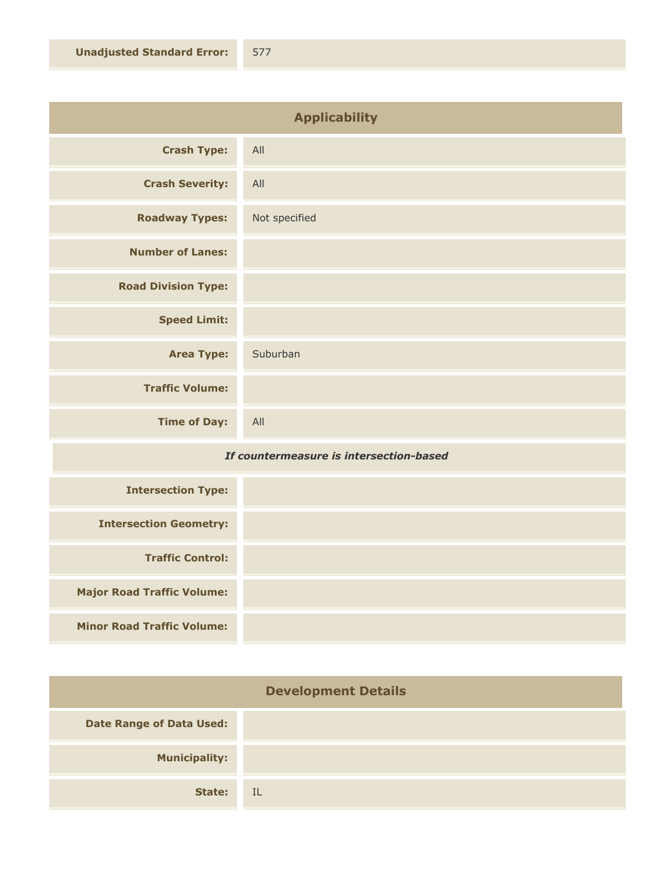| <b>Applicability</b>       |               |
|----------------------------|---------------|
| <b>Crash Type:</b>         | All           |
| <b>Crash Severity:</b>     | All           |
| <b>Roadway Types:</b>      | Not specified |
| <b>Number of Lanes:</b>    |               |
| <b>Road Division Type:</b> |               |
| <b>Speed Limit:</b>        |               |
| <b>Area Type:</b>          | Suburban      |
| <b>Traffic Volume:</b>     |               |
| <b>Time of Day:</b>        | All           |

## *If countermeasure is intersection-based*

| <b>Intersection Type:</b>         |  |
|-----------------------------------|--|
| <b>Intersection Geometry:</b>     |  |
| <b>Traffic Control:</b>           |  |
| <b>Major Road Traffic Volume:</b> |  |
| <b>Minor Road Traffic Volume:</b> |  |

| <b>Development Details</b>      |           |
|---------------------------------|-----------|
| <b>Date Range of Data Used:</b> |           |
| <b>Municipality:</b>            |           |
| State:                          | <b>IL</b> |